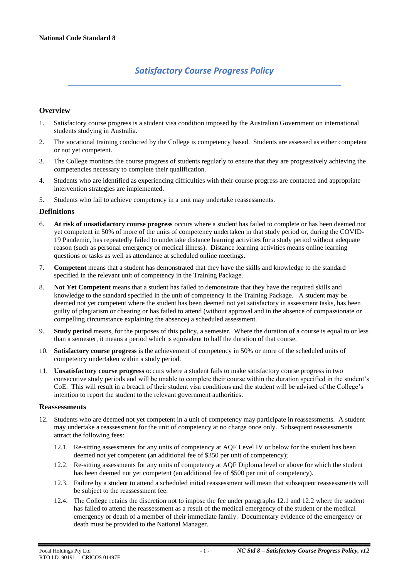# *Satisfactory Course Progress Policy*

### **Overview**

- 1. Satisfactory course progress is a student visa condition imposed by the Australian Government on international students studying in Australia.
- 2. The vocational training conducted by the College is competency based. Students are assessed as either competent or not yet competent.
- 3. The College monitors the course progress of students regularly to ensure that they are progressively achieving the competencies necessary to complete their qualification.
- 4. Students who are identified as experiencing difficulties with their course progress are contacted and appropriate intervention strategies are implemented.
- 5. Students who fail to achieve competency in a unit may undertake reassessments.

#### **Definitions**

- 6. **At risk of unsatisfactory course progress** occurs where a student has failed to complete or has been deemed not yet competent in 50% of more of the units of competency undertaken in that study period or, during the COVID-19 Pandemic, has repeatedly failed to undertake distance learning activities for a study period without adequate reason (such as personal emergency or medical illness). Distance learning activities means online learning questions or tasks as well as attendance at scheduled online meetings.
- 7. **Competent** means that a student has demonstrated that they have the skills and knowledge to the standard specified in the relevant unit of competency in the Training Package.
- 8. **Not Yet Competent** means that a student has failed to demonstrate that they have the required skills and knowledge to the standard specified in the unit of competency in the Training Package. A student may be deemed not yet competent where the student has been deemed not yet satisfactory in assessment tasks, has been guilty of plagiarism or cheating or has failed to attend (without approval and in the absence of compassionate or compelling circumstance explaining the absence) a scheduled assessment.
- 9. **Study period** means, for the purposes of this policy, a semester. Where the duration of a course is equal to or less than a semester, it means a period which is equivalent to half the duration of that course.
- 10. **Satisfactory course progress** is the achievement of competency in 50% or more of the scheduled units of competency undertaken within a study period.
- 11. **Unsatisfactory course progress** occurs where a student fails to make satisfactory course progress in two consecutive study periods and will be unable to complete their course within the duration specified in the student's CoE. This will result in a breach of their student visa conditions and the student will be advised of the College's intention to report the student to the relevant government authorities.

#### **Reassessments**

- 12. Students who are deemed not yet competent in a unit of competency may participate in reassessments. A student may undertake a reassessment for the unit of competency at no charge once only. Subsequent reassessments attract the following fees:
	- 12.1. Re-sitting assessments for any units of competency at AQF Level IV or below for the student has been deemed not yet competent (an additional fee of \$350 per unit of competency);
	- 12.2. Re-sitting assessments for any units of competency at AQF Diploma level or above for which the student has been deemed not yet competent (an additional fee of \$500 per unit of competency).
	- 12.3. Failure by a student to attend a scheduled initial reassessment will mean that subsequent reassessments will be subject to the reassessment fee.
	- 12.4. The College retains the discretion not to impose the fee under paragraphs 12.1 and 12.2 where the student has failed to attend the reassessment as a result of the medical emergency of the student or the medical emergency or death of a member of their immediate family. Documentary evidence of the emergency or death must be provided to the National Manager.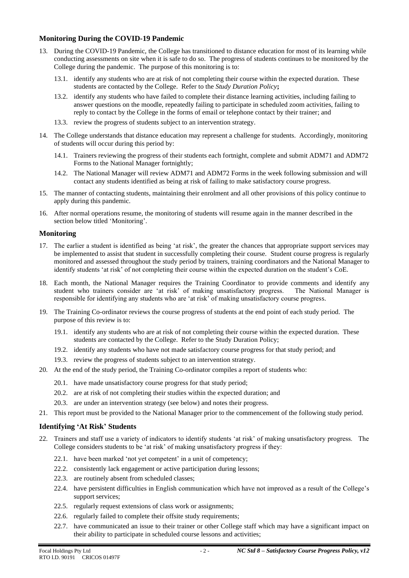# **Monitoring During the COVID-19 Pandemic**

- 13. During the COVID-19 Pandemic, the College has transitioned to distance education for most of its learning while conducting assessments on site when it is safe to do so. The progress of students continues to be monitored by the College during the pandemic. The purpose of this monitoring is to:
	- 13.1. identify any students who are at risk of not completing their course within the expected duration. These students are contacted by the College. Refer to the *Study Duration Policy***;**
	- 13.2. identify any students who have failed to complete their distance learning activities, including failing to answer questions on the moodle, repeatedly failing to participate in scheduled zoom activities, failing to reply to contact by the College in the forms of email or telephone contact by their trainer; and
	- 13.3. review the progress of students subject to an intervention strategy.
- 14. The College understands that distance education may represent a challenge for students. Accordingly, monitoring of students will occur during this period by:
	- 14.1. Trainers reviewing the progress of their students each fortnight, complete and submit ADM71 and ADM72 Forms to the National Manager fortnightly;
	- 14.2. The National Manager will review ADM71 and ADM72 Forms in the week following submission and will contact any students identified as being at risk of failing to make satisfactory course progress.
- 15. The manner of contacting students, maintaining their enrolment and all other provisions of this policy continue to apply during this pandemic.
- 16. After normal operations resume, the monitoring of students will resume again in the manner described in the section below titled 'Monitoring'.

# **Monitoring**

- 17. The earlier a student is identified as being 'at risk', the greater the chances that appropriate support services may be implemented to assist that student in successfully completing their course. Student course progress is regularly monitored and assessed throughout the study period by trainers, training coordinators and the National Manager to identify students 'at risk' of not completing their course within the expected duration on the student's CoE.
- 18. Each month, the National Manager requires the Training Coordinator to provide comments and identify any student who trainers consider are 'at risk' of making unsatisfactory progress. The National Manager is responsible for identifying any students who are 'at risk' of making unsatisfactory course progress.
- 19. The Training Co-ordinator reviews the course progress of students at the end point of each study period. The purpose of this review is to:
	- 19.1. identify any students who are at risk of not completing their course within the expected duration. These students are contacted by the College. Refer to the Study Duration Policy;
	- 19.2. identify any students who have not made satisfactory course progress for that study period; and
	- 19.3. review the progress of students subject to an intervention strategy.
- 20. At the end of the study period, the Training Co-ordinator compiles a report of students who:
	- 20.1. have made unsatisfactory course progress for that study period;
	- 20.2. are at risk of not completing their studies within the expected duration; and
	- 20.3. are under an intervention strategy (see below) and notes their progress.
- 21. This report must be provided to the National Manager prior to the commencement of the following study period.

### **Identifying 'At Risk' Students**

- 22. Trainers and staff use a variety of indicators to identify students 'at risk' of making unsatisfactory progress. The College considers students to be 'at risk' of making unsatisfactory progress if they:
	- 22.1. have been marked 'not yet competent' in a unit of competency;
	- 22.2. consistently lack engagement or active participation during lessons;
	- 22.3. are routinely absent from scheduled classes;
	- 22.4. have persistent difficulties in English communication which have not improved as a result of the College's support services;
	- 22.5. regularly request extensions of class work or assignments;
	- 22.6. regularly failed to complete their offsite study requirements;
	- 22.7. have communicated an issue to their trainer or other College staff which may have a significant impact on their ability to participate in scheduled course lessons and activities;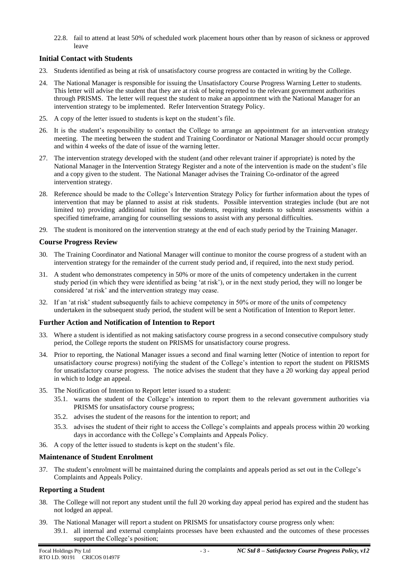22.8. fail to attend at least 50% of scheduled work placement hours other than by reason of sickness or approved leave

# **Initial Contact with Students**

- 23. Students identified as being at risk of unsatisfactory course progress are contacted in writing by the College.
- 24. The National Manager is responsible for issuing the Unsatisfactory Course Progress Warning Letter to students. This letter will advise the student that they are at risk of being reported to the relevant government authorities through PRISMS. The letter will request the student to make an appointment with the National Manager for an intervention strategy to be implemented. Refer Intervention Strategy Policy.
- 25. A copy of the letter issued to students is kept on the student's file.
- 26. It is the student's responsibility to contact the College to arrange an appointment for an intervention strategy meeting. The meeting between the student and Training Coordinator or National Manager should occur promptly and within 4 weeks of the date of issue of the warning letter.
- 27. The intervention strategy developed with the student (and other relevant trainer if appropriate) is noted by the National Manager in the Intervention Strategy Register and a note of the intervention is made on the student's file and a copy given to the student. The National Manager advises the Training Co-ordinator of the agreed intervention strategy.
- 28. Reference should be made to the College's Intervention Strategy Policy for further information about the types of intervention that may be planned to assist at risk students. Possible intervention strategies include (but are not limited to) providing additional tuition for the students, requiring students to submit assessments within a specified timeframe, arranging for counselling sessions to assist with any personal difficulties.
- 29. The student is monitored on the intervention strategy at the end of each study period by the Training Manager.

# **Course Progress Review**

- 30. The Training Coordinator and National Manager will continue to monitor the course progress of a student with an intervention strategy for the remainder of the current study period and, if required, into the next study period.
- 31. A student who demonstrates competency in 50% or more of the units of competency undertaken in the current study period (in which they were identified as being 'at risk'), or in the next study period, they will no longer be considered 'at risk' and the intervention strategy may cease.
- 32. If an 'at risk' student subsequently fails to achieve competency in 50% or more of the units of competency undertaken in the subsequent study period, the student will be sent a Notification of Intention to Report letter.

# **Further Action and Notification of Intention to Report**

- 33. Where a student is identified as not making satisfactory course progress in a second consecutive compulsory study period, the College reports the student on PRISMS for unsatisfactory course progress.
- 34. Prior to reporting, the National Manager issues a second and final warning letter (Notice of intention to report for unsatisfactory course progress) notifying the student of the College's intention to report the student on PRISMS for unsatisfactory course progress. The notice advises the student that they have a 20 working day appeal period in which to lodge an appeal.
- 35. The Notification of Intention to Report letter issued to a student:
	- 35.1. warns the student of the College's intention to report them to the relevant government authorities via PRISMS for unsatisfactory course progress;
	- 35.2. advises the student of the reasons for the intention to report; and
	- 35.3. advises the student of their right to access the College's complaints and appeals process within 20 working days in accordance with the College's Complaints and Appeals Policy.
- 36. A copy of the letter issued to students is kept on the student's file.

### **Maintenance of Student Enrolment**

37. The student's enrolment will be maintained during the complaints and appeals period as set out in the College's Complaints and Appeals Policy.

### **Reporting a Student**

- 38. The College will not report any student until the full 20 working day appeal period has expired and the student has not lodged an appeal.
- 39. The National Manager will report a student on PRISMS for unsatisfactory course progress only when:
	- 39.1. all internal and external complaints processes have been exhausted and the outcomes of these processes support the College's position;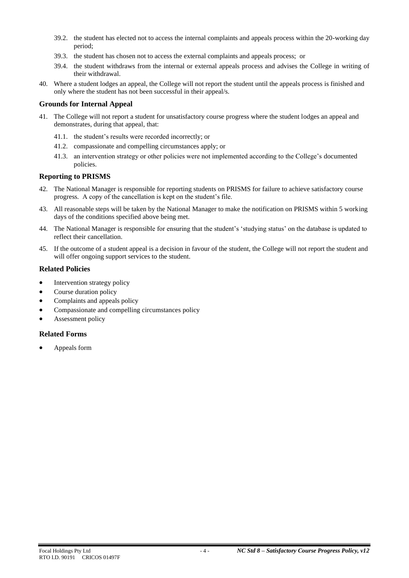- 39.2. the student has elected not to access the internal complaints and appeals process within the 20-working day period;
- 39.3. the student has chosen not to access the external complaints and appeals process; or
- 39.4. the student withdraws from the internal or external appeals process and advises the College in writing of their withdrawal.
- 40. Where a student lodges an appeal, the College will not report the student until the appeals process is finished and only where the student has not been successful in their appeal/s.

### **Grounds for Internal Appeal**

- 41. The College will not report a student for unsatisfactory course progress where the student lodges an appeal and demonstrates, during that appeal, that:
	- 41.1. the student's results were recorded incorrectly; or
	- 41.2. compassionate and compelling circumstances apply; or
	- 41.3. an intervention strategy or other policies were not implemented according to the College's documented policies.

### **Reporting to PRISMS**

- 42. The National Manager is responsible for reporting students on PRISMS for failure to achieve satisfactory course progress. A copy of the cancellation is kept on the student's file.
- 43. All reasonable steps will be taken by the National Manager to make the notification on PRISMS within 5 working days of the conditions specified above being met.
- 44. The National Manager is responsible for ensuring that the student's 'studying status' on the database is updated to reflect their cancellation.
- 45. If the outcome of a student appeal is a decision in favour of the student, the College will not report the student and will offer ongoing support services to the student.

#### **Related Policies**

- Intervention strategy policy
- Course duration policy
- Complaints and appeals policy
- Compassionate and compelling circumstances policy
- Assessment policy

### **Related Forms**

• Appeals form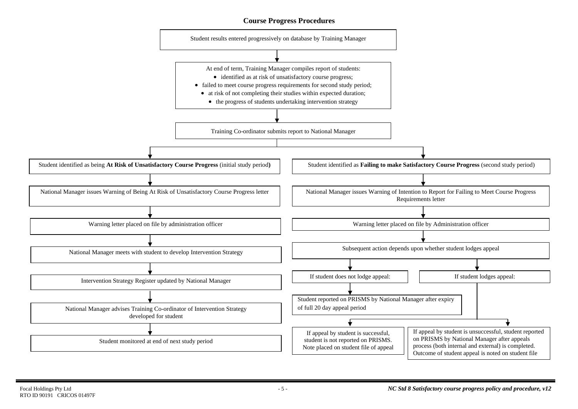